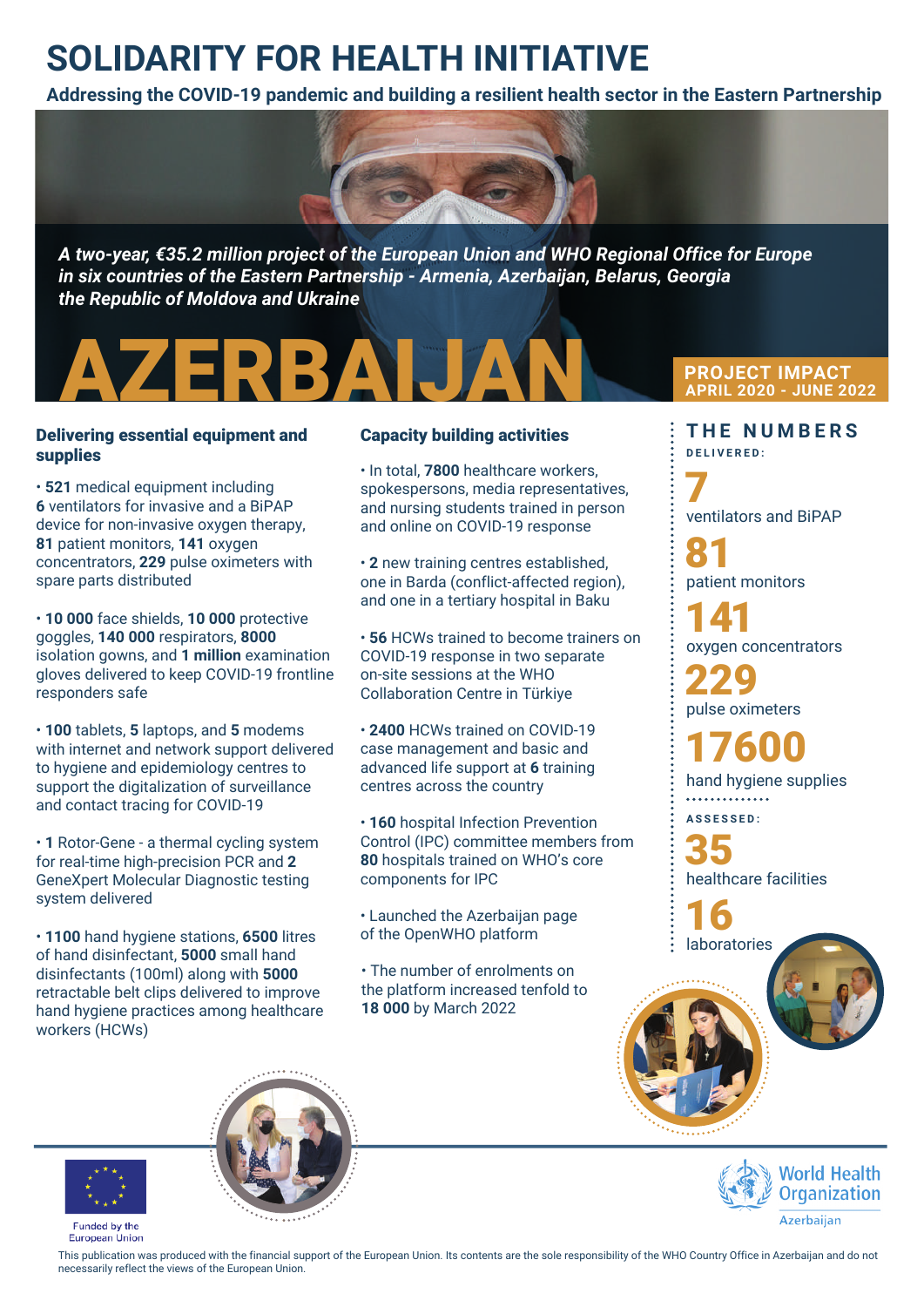## **SOLIDARITY FOR HEALTH INITIATIVE**

**Addressing the COVID-19 pandemic and building a resilient health sector in the Eastern Partnership**



*A two-year, €35.2 million project of the European Union and WHO Regional Office for Europe in six countries of the Eastern Partnership - Armenia, Azerbaijan, Belarus, Georgia the Republic of Moldova and Ukraine*



#### Delivering essential equipment and supplies

• **521** medical equipment including **6** ventilators for invasive and a BiPAP device for non-invasive oxygen therapy, **81** patient monitors, **141** oxygen concentrators, **229** pulse oximeters with spare parts distributed

• **10 000** face shields, **10 000** protective goggles, **140 000** respirators, **8000** isolation gowns, and **1 million** examination gloves delivered to keep COVID-19 frontline responders safe

• **100** tablets, **5** laptops, and **5** modems with internet and network support delivered to hygiene and epidemiology centres to support the digitalization of surveillance and contact tracing for COVID-19

• **1** Rotor-Gene - a thermal cycling system for real-time high-precision PCR and **2** GeneXpert Molecular Diagnostic testing system delivered

• **1100** hand hygiene stations, **6500** litres of hand disinfectant, **5000** small hand disinfectants (100ml) along with **5000** retractable belt clips delivered to improve hand hygiene practices among healthcare workers (HCWs)

### Capacity building activities

• In total, **7800** healthcare workers, spokespersons, media representatives, and nursing students trained in person and online on COVID-19 response

• **2** new training centres established, one in Barda (conflict-affected region), and one in a tertiary hospital in Baku

• **56** HCWs trained to become trainers on COVID-19 response in two separate on-site sessions at the WHO Collaboration Centre in Türkiye

• **2400** HCWs trained on COVID-19 case management and basic and advanced life support at **6** training centres across the country

• **160** hospital Infection Prevention Control (IPC) committee members from **80** hospitals trained on WHO's core components for IPC

• Launched the Azerbaijan page of the OpenWHO platform

• The number of enrolments on the platform increased tenfold to **18 000** by March 2022

**PROJECT IMPACT APRIL 2020 - JUNE 2022**

**T H E NU M B E R S D ELI V ERE D :**

7 ventilators and BiPAP 81 patient monitors 229 pulse oximeters 141 gen concentrators

hand hygiene supplies 17600

**AS S E S S E D :**

35 healthcare facilities

16 laboratories





Funded by the **European Union** 

This publication was produced with the financial support of the European Union. Its contents are the sole responsibility of the WHO Country Office in Azerbaijan and do not necessarily reflect the views of the European Union.